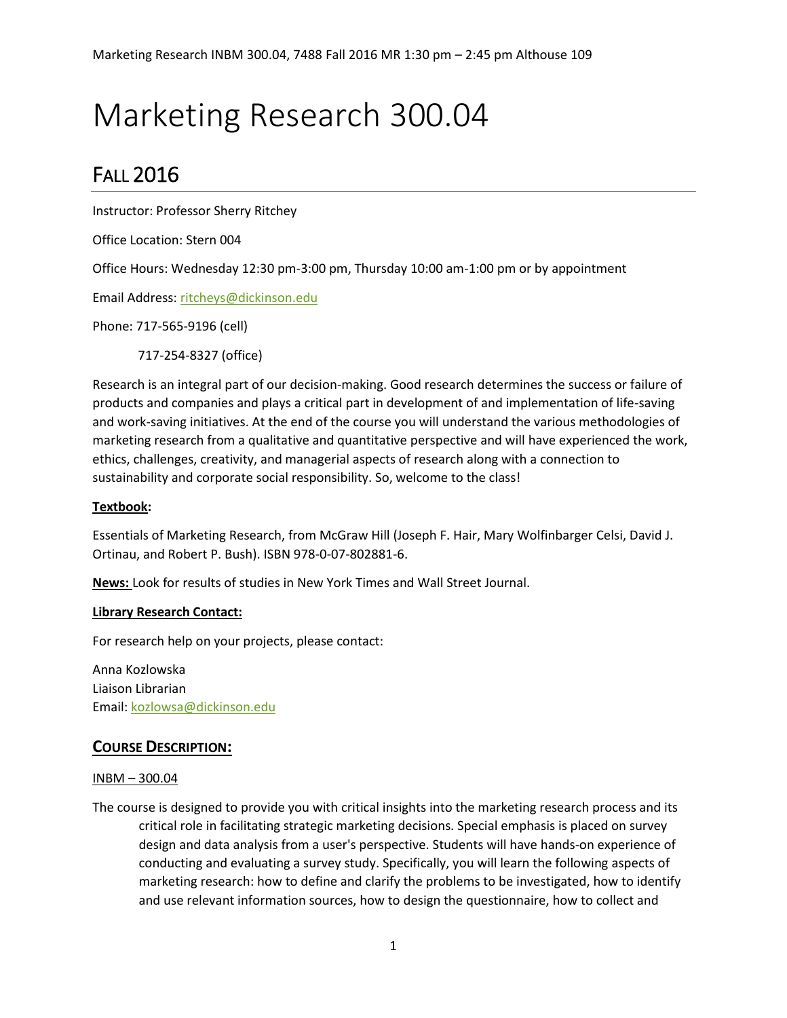# Marketing Research 300.04

# FALL 2016

Instructor: Professor Sherry Ritchey

Office Location: Stern 004

Office Hours: Wednesday 12:30 pm-3:00 pm, Thursday 10:00 am-1:00 pm or by appointment

Email Address: [ritcheys@dickinson.edu](mailto:ritcheys@dickinson.edu)

Phone: 717-565-9196 (cell)

717-254-8327 (office)

Research is an integral part of our decision-making. Good research determines the success or failure of products and companies and plays a critical part in development of and implementation of life-saving and work-saving initiatives. At the end of the course you will understand the various methodologies of marketing research from a qualitative and quantitative perspective and will have experienced the work, ethics, challenges, creativity, and managerial aspects of research along with a connection to sustainability and corporate social responsibility. So, welcome to the class!

#### **Textbook:**

Essentials of Marketing Research, from McGraw Hill (Joseph F. Hair, Mary Wolfinbarger Celsi, David J. Ortinau, and Robert P. Bush). ISBN 978-0-07-802881-6.

**News:** Look for results of studies in New York Times and Wall Street Journal.

#### **Library Research Contact:**

For research help on your projects, please contact:

Anna Kozlowska Liaison Librarian Email: [kozlowsa@dickinson.edu](mailto:kozlowsa@dickinson.edu)

### **COURSE DESCRIPTION:**

#### INBM – 300.04

The course is designed to provide you with critical insights into the marketing research process and its critical role in facilitating strategic marketing decisions. Special emphasis is placed on survey design and data analysis from a user's perspective. Students will have hands-on experience of conducting and evaluating a survey study. Specifically, you will learn the following aspects of marketing research: how to define and clarify the problems to be investigated, how to identify and use relevant information sources, how to design the questionnaire, how to collect and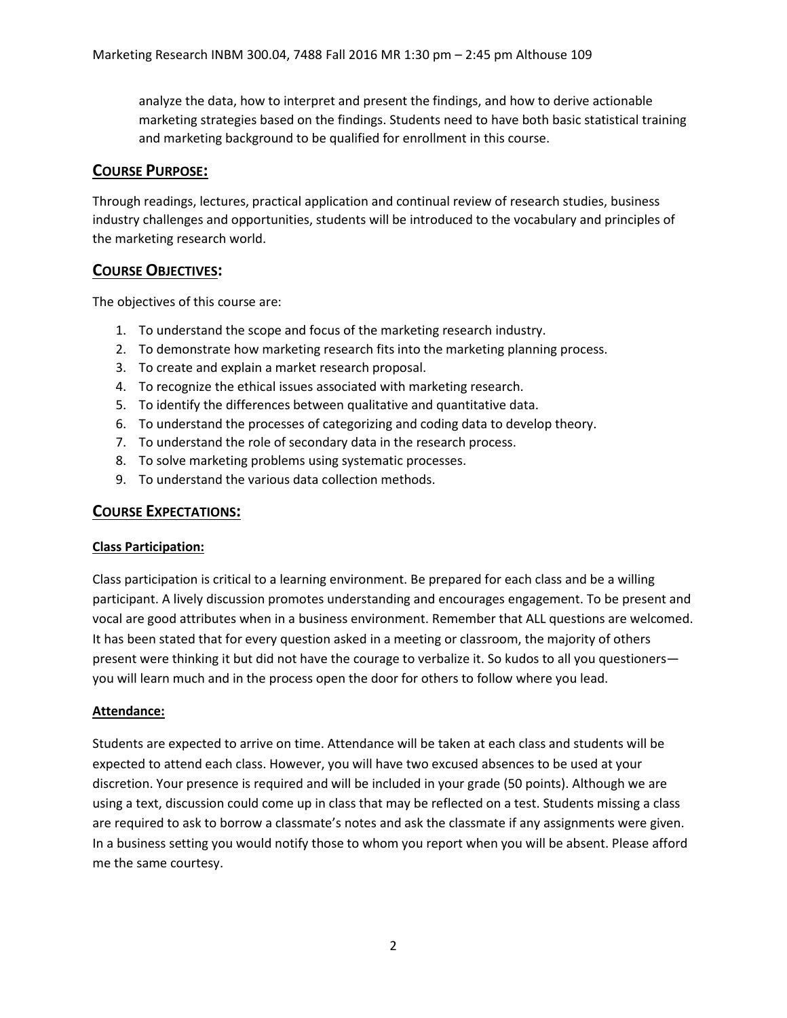analyze the data, how to interpret and present the findings, and how to derive actionable marketing strategies based on the findings. Students need to have both basic statistical training and marketing background to be qualified for enrollment in this course.

#### **COURSE PURPOSE:**

Through readings, lectures, practical application and continual review of research studies, business industry challenges and opportunities, students will be introduced to the vocabulary and principles of the marketing research world.

#### **COURSE OBJECTIVES:**

The objectives of this course are:

- 1. To understand the scope and focus of the marketing research industry.
- 2. To demonstrate how marketing research fits into the marketing planning process.
- 3. To create and explain a market research proposal.
- 4. To recognize the ethical issues associated with marketing research.
- 5. To identify the differences between qualitative and quantitative data.
- 6. To understand the processes of categorizing and coding data to develop theory.
- 7. To understand the role of secondary data in the research process.
- 8. To solve marketing problems using systematic processes.
- 9. To understand the various data collection methods.

#### **COURSE EXPECTATIONS:**

#### **Class Participation:**

Class participation is critical to a learning environment. Be prepared for each class and be a willing participant. A lively discussion promotes understanding and encourages engagement. To be present and vocal are good attributes when in a business environment. Remember that ALL questions are welcomed. It has been stated that for every question asked in a meeting or classroom, the majority of others present were thinking it but did not have the courage to verbalize it. So kudos to all you questioners you will learn much and in the process open the door for others to follow where you lead.

#### **Attendance:**

Students are expected to arrive on time. Attendance will be taken at each class and students will be expected to attend each class. However, you will have two excused absences to be used at your discretion. Your presence is required and will be included in your grade (50 points). Although we are using a text, discussion could come up in class that may be reflected on a test. Students missing a class are required to ask to borrow a classmate's notes and ask the classmate if any assignments were given. In a business setting you would notify those to whom you report when you will be absent. Please afford me the same courtesy.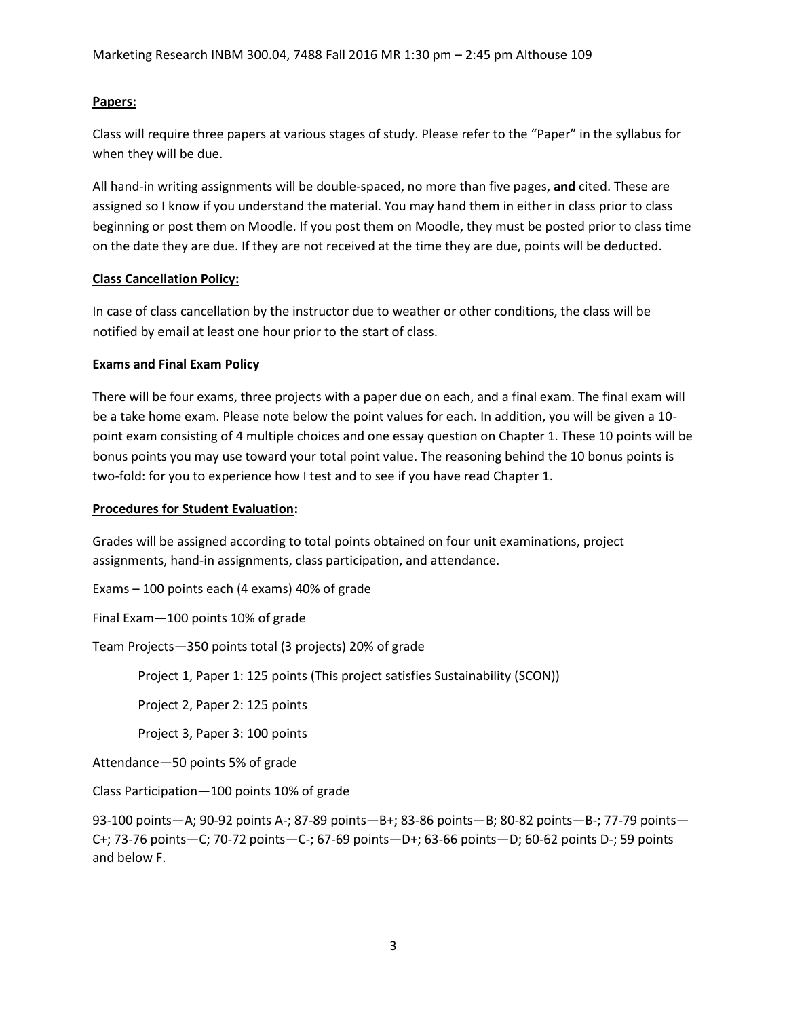#### **Papers:**

Class will require three papers at various stages of study. Please refer to the "Paper" in the syllabus for when they will be due.

All hand-in writing assignments will be double-spaced, no more than five pages, **and** cited. These are assigned so I know if you understand the material. You may hand them in either in class prior to class beginning or post them on Moodle. If you post them on Moodle, they must be posted prior to class time on the date they are due. If they are not received at the time they are due, points will be deducted.

#### **Class Cancellation Policy:**

In case of class cancellation by the instructor due to weather or other conditions, the class will be notified by email at least one hour prior to the start of class.

#### **Exams and Final Exam Policy**

There will be four exams, three projects with a paper due on each, and a final exam. The final exam will be a take home exam. Please note below the point values for each. In addition, you will be given a 10 point exam consisting of 4 multiple choices and one essay question on Chapter 1. These 10 points will be bonus points you may use toward your total point value. The reasoning behind the 10 bonus points is two-fold: for you to experience how I test and to see if you have read Chapter 1.

#### **Procedures for Student Evaluation:**

Grades will be assigned according to total points obtained on four unit examinations, project assignments, hand-in assignments, class participation, and attendance.

Exams – 100 points each (4 exams) 40% of grade

Final Exam—100 points 10% of grade

Team Projects—350 points total (3 projects) 20% of grade

Project 1, Paper 1: 125 points (This project satisfies Sustainability (SCON))

Project 2, Paper 2: 125 points

Project 3, Paper 3: 100 points

Attendance—50 points 5% of grade

Class Participation—100 points 10% of grade

93-100 points—A; 90-92 points A-; 87-89 points—B+; 83-86 points—B; 80-82 points—B-; 77-79 points— C+; 73-76 points—C; 70-72 points—C-; 67-69 points—D+; 63-66 points—D; 60-62 points D-; 59 points and below F.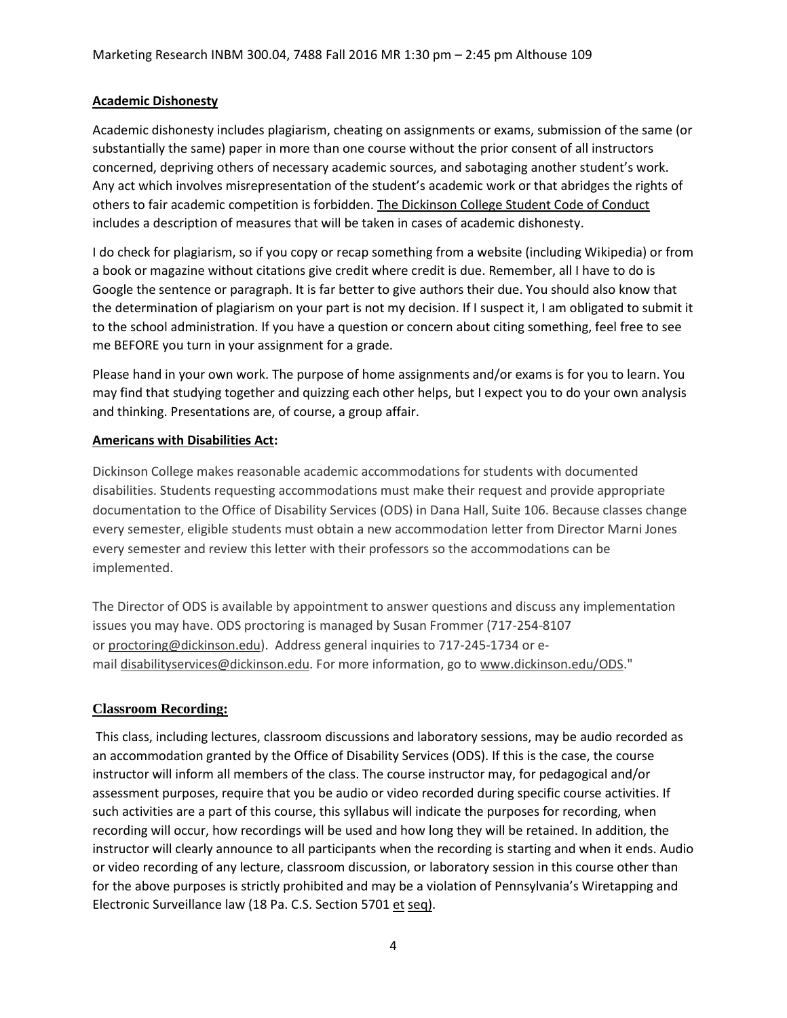#### **Academic Dishonesty**

Academic dishonesty includes plagiarism, cheating on assignments or exams, submission of the same (or substantially the same) paper in more than one course without the prior consent of all instructors concerned, depriving others of necessary academic sources, and sabotaging another student's work. Any act which involves misrepresentation of the student's academic work or that abridges the rights of others to fair academic competition is forbidden. The Dickinson College Student Code of Conduct includes a description of measures that will be taken in cases of academic dishonesty.

I do check for plagiarism, so if you copy or recap something from a website (including Wikipedia) or from a book or magazine without citations give credit where credit is due. Remember, all I have to do is Google the sentence or paragraph. It is far better to give authors their due. You should also know that the determination of plagiarism on your part is not my decision. If I suspect it, I am obligated to submit it to the school administration. If you have a question or concern about citing something, feel free to see me BEFORE you turn in your assignment for a grade.

Please hand in your own work. The purpose of home assignments and/or exams is for you to learn. You may find that studying together and quizzing each other helps, but I expect you to do your own analysis and thinking. Presentations are, of course, a group affair.

#### **Americans with Disabilities Act:**

Dickinson College makes reasonable academic accommodations for students with documented disabilities. Students requesting accommodations must make their request and provide appropriate documentation to the Office of Disability Services (ODS) in Dana Hall, Suite 106. Because classes change every semester, eligible students must obtain a new accommodation letter from Director Marni Jones every semester and review this letter with their professors so the accommodations can be implemented.

The Director of ODS is available by appointment to answer questions and discuss any implementation issues you may have. ODS proctoring is managed by Susan Frommer (717-254-8107 or [proctoring@dickinson.edu\)](mailto:proctoring@dickinson.edu). Address general inquiries to 717-245-1734 or email [disabilityservices@dickinson.edu.](mailto:disabilityservices@dickinson.edu) For more information, go to [www.dickinson.edu/ODS.](http://www.dickinson.edu/ODS)"

#### **Classroom Recording:**

This class, including lectures, classroom discussions and laboratory sessions, may be audio recorded as an accommodation granted by the Office of Disability Services (ODS). If this is the case, the course instructor will inform all members of the class. The course instructor may, for pedagogical and/or assessment purposes, require that you be audio or video recorded during specific course activities. If such activities are a part of this course, this syllabus will indicate the purposes for recording, when recording will occur, how recordings will be used and how long they will be retained. In addition, the instructor will clearly announce to all participants when the recording is starting and when it ends. Audio or video recording of any lecture, classroom discussion, or laboratory session in this course other than for the above purposes is strictly prohibited and may be a violation of Pennsylvania's Wiretapping and Electronic Surveillance law (18 Pa. C.S. Section 5701 et seq).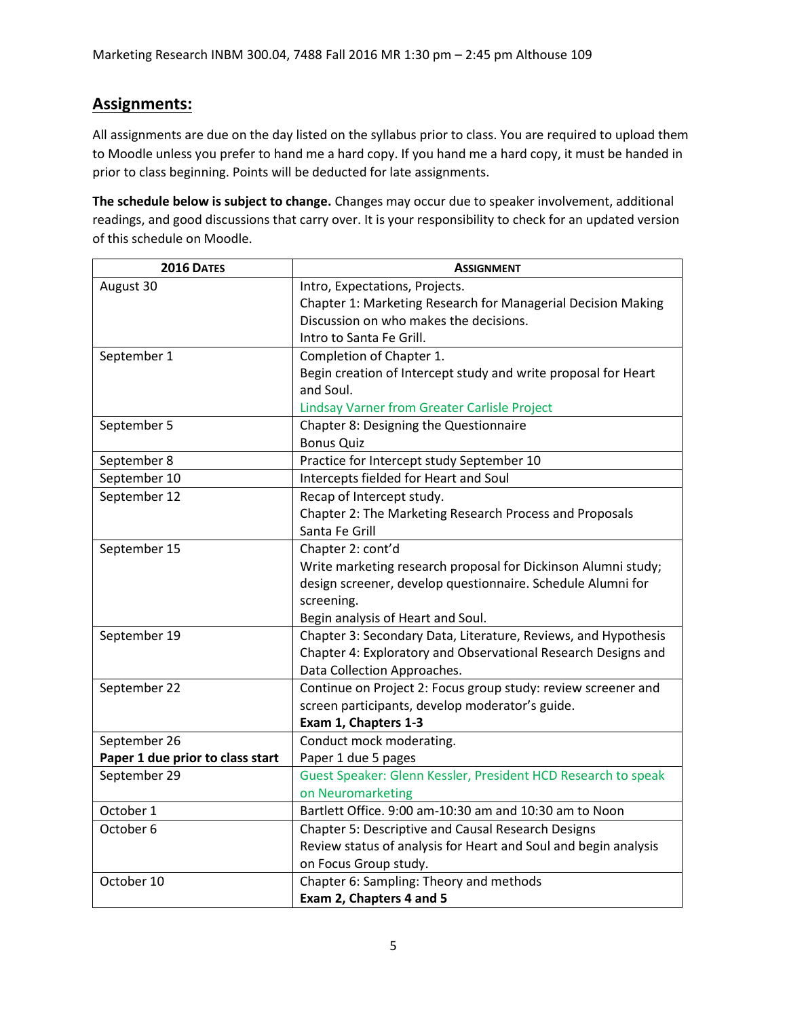## **Assignments:**

All assignments are due on the day listed on the syllabus prior to class. You are required to upload them to Moodle unless you prefer to hand me a hard copy. If you hand me a hard copy, it must be handed in prior to class beginning. Points will be deducted for late assignments.

**The schedule below is subject to change.** Changes may occur due to speaker involvement, additional readings, and good discussions that carry over. It is your responsibility to check for an updated version of this schedule on Moodle.

| <b>2016 DATES</b>                | <b>ASSIGNMENT</b>                                               |
|----------------------------------|-----------------------------------------------------------------|
| August 30                        | Intro, Expectations, Projects.                                  |
|                                  | Chapter 1: Marketing Research for Managerial Decision Making    |
|                                  | Discussion on who makes the decisions.                          |
|                                  | Intro to Santa Fe Grill.                                        |
| September 1                      | Completion of Chapter 1.                                        |
|                                  | Begin creation of Intercept study and write proposal for Heart  |
|                                  | and Soul.                                                       |
|                                  | <b>Lindsay Varner from Greater Carlisle Project</b>             |
| September 5                      | Chapter 8: Designing the Questionnaire                          |
|                                  | <b>Bonus Quiz</b>                                               |
| September 8                      | Practice for Intercept study September 10                       |
| September 10                     | Intercepts fielded for Heart and Soul                           |
| September 12                     | Recap of Intercept study.                                       |
|                                  | Chapter 2: The Marketing Research Process and Proposals         |
|                                  | Santa Fe Grill                                                  |
| September 15                     | Chapter 2: cont'd                                               |
|                                  | Write marketing research proposal for Dickinson Alumni study;   |
|                                  | design screener, develop questionnaire. Schedule Alumni for     |
|                                  | screening.                                                      |
|                                  | Begin analysis of Heart and Soul.                               |
| September 19                     | Chapter 3: Secondary Data, Literature, Reviews, and Hypothesis  |
|                                  | Chapter 4: Exploratory and Observational Research Designs and   |
|                                  | Data Collection Approaches.                                     |
| September 22                     | Continue on Project 2: Focus group study: review screener and   |
|                                  | screen participants, develop moderator's guide.                 |
|                                  | Exam 1, Chapters 1-3                                            |
| September 26                     | Conduct mock moderating.                                        |
| Paper 1 due prior to class start | Paper 1 due 5 pages                                             |
| September 29                     | Guest Speaker: Glenn Kessler, President HCD Research to speak   |
|                                  | on Neuromarketing                                               |
| October 1                        | Bartlett Office. 9:00 am-10:30 am and 10:30 am to Noon          |
| October <sub>6</sub>             | <b>Chapter 5: Descriptive and Causal Research Designs</b>       |
|                                  | Review status of analysis for Heart and Soul and begin analysis |
|                                  | on Focus Group study.                                           |
| October 10                       | Chapter 6: Sampling: Theory and methods                         |
|                                  | Exam 2, Chapters 4 and 5                                        |